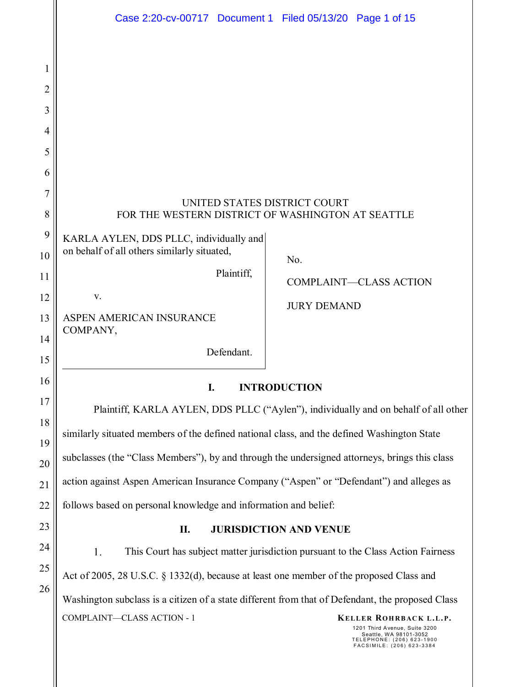|                | Case 2:20-cv-00717 Document 1 Filed 05/13/20 Page 1 of 15                                                                                                                 |  |  |
|----------------|---------------------------------------------------------------------------------------------------------------------------------------------------------------------------|--|--|
|                |                                                                                                                                                                           |  |  |
| 1              |                                                                                                                                                                           |  |  |
| $\overline{2}$ |                                                                                                                                                                           |  |  |
| 3              |                                                                                                                                                                           |  |  |
| 4              |                                                                                                                                                                           |  |  |
| 5              |                                                                                                                                                                           |  |  |
| 6              |                                                                                                                                                                           |  |  |
| $\overline{7}$ | UNITED STATES DISTRICT COURT                                                                                                                                              |  |  |
| 8              | FOR THE WESTERN DISTRICT OF WASHINGTON AT SEATTLE                                                                                                                         |  |  |
| 9              | KARLA AYLEN, DDS PLLC, individually and<br>on behalf of all others similarly situated,                                                                                    |  |  |
| 10             | No.<br>Plaintiff,                                                                                                                                                         |  |  |
| 11             | <b>COMPLAINT-CLASS ACTION</b><br>$\mathbf{V}.$                                                                                                                            |  |  |
| 12<br>13       | <b>JURY DEMAND</b><br>ASPEN AMERICAN INSURANCE                                                                                                                            |  |  |
| 14             | COMPANY,                                                                                                                                                                  |  |  |
| 15             | Defendant.                                                                                                                                                                |  |  |
| 16             | I.<br><b>INTRODUCTION</b>                                                                                                                                                 |  |  |
| 17             | Plaintiff, KARLA AYLEN, DDS PLLC ("Aylen"), individually and on behalf of all other                                                                                       |  |  |
| 18             | similarly situated members of the defined national class, and the defined Washington State                                                                                |  |  |
| 19             | subclasses (the "Class Members"), by and through the undersigned attorneys, brings this class                                                                             |  |  |
| 20             | action against Aspen American Insurance Company ("Aspen" or "Defendant") and alleges as                                                                                   |  |  |
| 21<br>22       |                                                                                                                                                                           |  |  |
| 23             | follows based on personal knowledge and information and belief:                                                                                                           |  |  |
| 24             | <b>JURISDICTION AND VENUE</b><br>П.                                                                                                                                       |  |  |
| 25             | 1.<br>This Court has subject matter jurisdiction pursuant to the Class Action Fairness                                                                                    |  |  |
| 26             | Act of 2005, 28 U.S.C. § 1332(d), because at least one member of the proposed Class and                                                                                   |  |  |
|                | Washington subclass is a citizen of a state different from that of Defendant, the proposed Class                                                                          |  |  |
|                | COMPLAINT-CLASS ACTION - 1<br>KELLER ROHRBACK L.L.P.<br>1201 Third Avenue, Suite 3200<br>Seattle, WA 98101-3052<br>TELEPHONE: (206) 623-1900<br>FACSIMILE: (206) 623-3384 |  |  |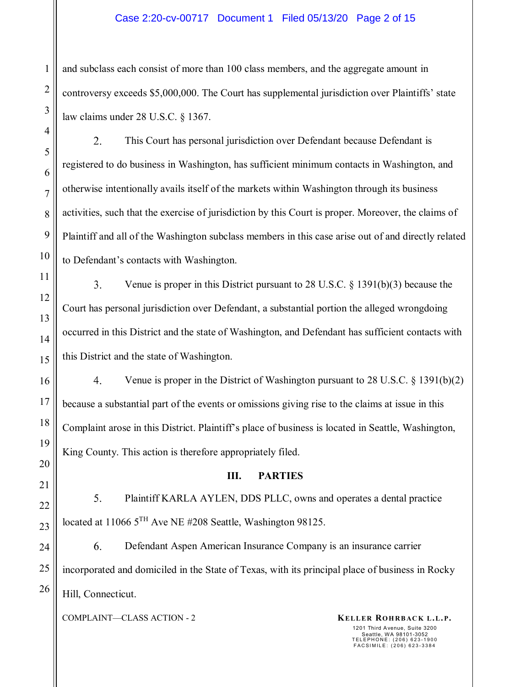### Case 2:20-cv-00717 Document 1 Filed 05/13/20 Page 2 of 15

and subclass each consist of more than 100 class members, and the aggregate amount in controversy exceeds \$5,000,000. The Court has supplemental jurisdiction over Plaintiffs' state law claims under 28 U.S.C. § 1367.

2. This Court has personal jurisdiction over Defendant because Defendant is registered to do business in Washington, has sufficient minimum contacts in Washington, and otherwise intentionally avails itself of the markets within Washington through its business activities, such that the exercise of jurisdiction by this Court is proper. Moreover, the claims of Plaintiff and all of the Washington subclass members in this case arise out of and directly related to Defendant's contacts with Washington.

 $3.$ Venue is proper in this District pursuant to 28 U.S.C. § 1391(b)(3) because the Court has personal jurisdiction over Defendant, a substantial portion the alleged wrongdoing occurred in this District and the state of Washington, and Defendant has sufficient contacts with this District and the state of Washington.

4. Venue is proper in the District of Washington pursuant to 28 U.S.C.  $\S$  1391(b)(2) because a substantial part of the events or omissions giving rise to the claims at issue in this Complaint arose in this District. Plaintiff's place of business is located in Seattle, Washington, King County. This action is therefore appropriately filed.

### **III. PARTIES**

5. Plaintiff KARLA AYLEN, DDS PLLC, owns and operates a dental practice located at 11066 5<sup>TH</sup> Ave NE #208 Seattle, Washington 98125.

6. Defendant Aspen American Insurance Company is an insurance carrier incorporated and domiciled in the State of Texas, with its principal place of business in Rocky Hill, Connecticut.

COMPLAINT—CLASS ACTION - 2 **KELLER ROHRBACK L.L.P.**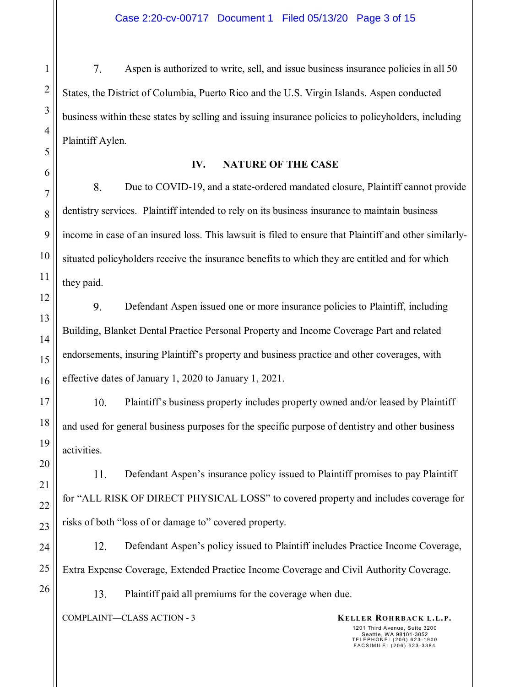7. Aspen is authorized to write, sell, and issue business insurance policies in all 50 States, the District of Columbia, Puerto Rico and the U.S. Virgin Islands. Aspen conducted business within these states by selling and issuing insurance policies to policyholders, including Plaintiff Aylen.

### **IV. NATURE OF THE CASE**

8. Due to COVID-19, and a state-ordered mandated closure, Plaintiff cannot provide dentistry services. Plaintiff intended to rely on its business insurance to maintain business income in case of an insured loss. This lawsuit is filed to ensure that Plaintiff and other similarlysituated policyholders receive the insurance benefits to which they are entitled and for which they paid.

 $9<sub>1</sub>$ Defendant Aspen issued one or more insurance policies to Plaintiff, including Building, Blanket Dental Practice Personal Property and Income Coverage Part and related endorsements, insuring Plaintiff's property and business practice and other coverages, with effective dates of January 1, 2020 to January 1, 2021.

 $10<sub>1</sub>$ Plaintiff's business property includes property owned and/or leased by Plaintiff and used for general business purposes for the specific purpose of dentistry and other business activities.

11. Defendant Aspen's insurance policy issued to Plaintiff promises to pay Plaintiff for "ALL RISK OF DIRECT PHYSICAL LOSS" to covered property and includes coverage for risks of both "loss of or damage to" covered property.

12. Defendant Aspen's policy issued to Plaintiff includes Practice Income Coverage, Extra Expense Coverage, Extended Practice Income Coverage and Civil Authority Coverage.

13. Plaintiff paid all premiums for the coverage when due.

COMPLAINT—CLASS ACTION - 3 **KELLER ROHRBACK L.L.P.**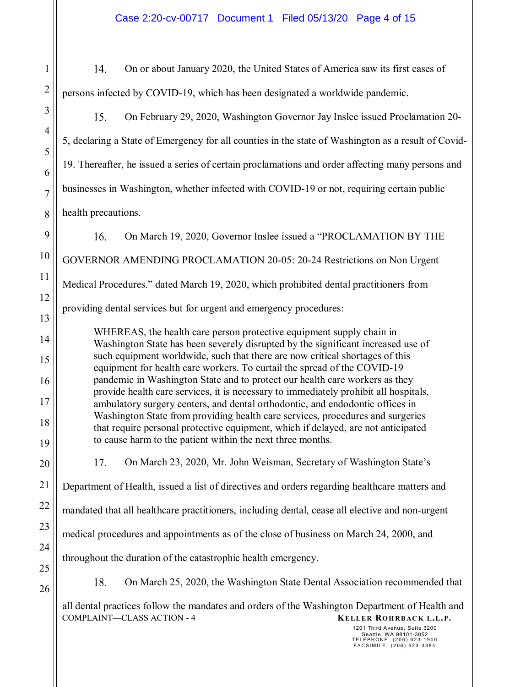14. On or about January 2020, the United States of America saw its first cases of persons infected by COVID-19, which has been designated a worldwide pandemic. 3 15. On February 29, 2020, Washington Governor Jay Inslee issued Proclamation 20- 4 5, declaring a State of Emergency for all counties in the state of Washington as a result of Covid-19. Thereafter, he issued a series of certain proclamations and order affecting many persons and businesses in Washington, whether infected with COVID-19 or not, requiring certain public health precautions. 9  $16.$ On March 19, 2020, Governor Inslee issued a "PROCLAMATION BY THE 10 GOVERNOR AMENDING PROCLAMATION 20-05: 20-24 Restrictions on Non Urgent Medical Procedures." dated March 19, 2020, which prohibited dental practitioners from 12 providing dental services but for urgent and emergency procedures: 13 WHEREAS, the health care person protective equipment supply chain in 14 Washington State has been severely disrupted by the significant increased use of such equipment worldwide, such that there are now critical shortages of this 15 equipment for health care workers. To curtail the spread of the COVID-19 pandemic in Washington State and to protect our health care workers as they 16 provide health care services, it is necessary to immediately prohibit all hospitals, 17 ambulatory surgery centers, and dental orthodontic, and endodontic offices in Washington State from providing health care services, procedures and surgeries 18 that require personal protective equipment, which if delayed, are not anticipated to cause harm to the patient within the next three months. 19 17. On March 23, 2020, Mr. John Weisman, Secretary of Washington State's 20 21 Department of Health, issued a list of directives and orders regarding healthcare matters and 22 mandated that all healthcare practitioners, including dental, cease all elective and non-urgent 23 medical procedures and appointments as of the close of business on March 24, 2000, and 24

throughout the duration of the catastrophic health emergency.

25 26

1

2

5

6

7

8

11

18. On March 25, 2020, the Washington State Dental Association recommended that

COMPLAINT—CLASS ACTION - 4 **KELLER ROHRBACK L.L.P.** all dental practices follow the mandates and orders of the Washington Department of Health and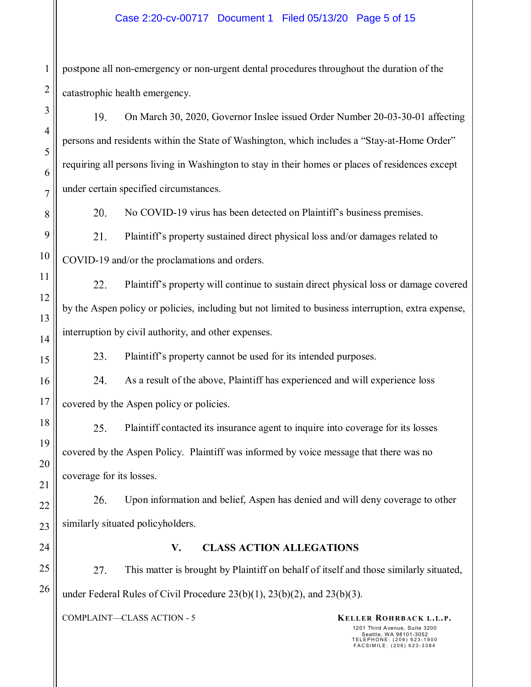### Case 2:20-cv-00717 Document 1 Filed 05/13/20 Page 5 of 15

postpone all non-emergency or non-urgent dental procedures throughout the duration of the catastrophic health emergency.

19. On March 30, 2020, Governor Inslee issued Order Number 20-03-30-01 affecting persons and residents within the State of Washington, which includes a "Stay-at-Home Order" requiring all persons living in Washington to stay in their homes or places of residences except under certain specified circumstances.

20.

No COVID-19 virus has been detected on Plaintiff's business premises.

Plaintiff's property sustained direct physical loss and/or damages related to 21. COVID-19 and/or the proclamations and orders.

22. Plaintiff's property will continue to sustain direct physical loss or damage covered by the Aspen policy or policies, including but not limited to business interruption, extra expense, interruption by civil authority, and other expenses.

23. Plaintiff's property cannot be used for its intended purposes.

24. As a result of the above, Plaintiff has experienced and will experience loss covered by the Aspen policy or policies.

25. Plaintiff contacted its insurance agent to inquire into coverage for its losses covered by the Aspen Policy. Plaintiff was informed by voice message that there was no coverage for its losses.

Upon information and belief, Aspen has denied and will deny coverage to other 26. similarly situated policyholders.

### **V. CLASS ACTION ALLEGATIONS**

27. This matter is brought by Plaintiff on behalf of itself and those similarly situated, under Federal Rules of Civil Procedure 23(b)(1), 23(b)(2), and 23(b)(3).

COMPLAINT—CLASS ACTION - 5 **KELLER ROHRBACK L.L.P.**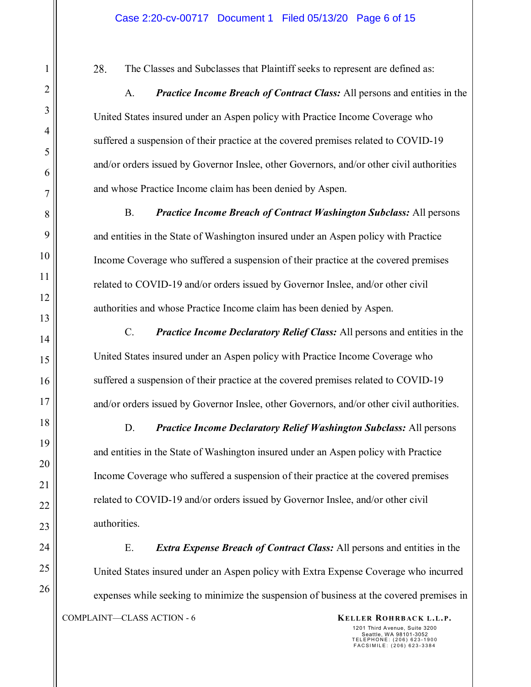28. The Classes and Subclasses that Plaintiff seeks to represent are defined as:

A. *Practice Income Breach of Contract Class:* All persons and entities in the United States insured under an Aspen policy with Practice Income Coverage who suffered a suspension of their practice at the covered premises related to COVID-19 and/or orders issued by Governor Inslee, other Governors, and/or other civil authorities and whose Practice Income claim has been denied by Aspen.

B. *Practice Income Breach of Contract Washington Subclass:* All persons and entities in the State of Washington insured under an Aspen policy with Practice Income Coverage who suffered a suspension of their practice at the covered premises related to COVID-19 and/or orders issued by Governor Inslee, and/or other civil authorities and whose Practice Income claim has been denied by Aspen.

C. *Practice Income Declaratory Relief Class:* All persons and entities in the United States insured under an Aspen policy with Practice Income Coverage who suffered a suspension of their practice at the covered premises related to COVID-19 and/or orders issued by Governor Inslee, other Governors, and/or other civil authorities.

D. *Practice Income Declaratory Relief Washington Subclass:* All persons and entities in the State of Washington insured under an Aspen policy with Practice Income Coverage who suffered a suspension of their practice at the covered premises related to COVID-19 and/or orders issued by Governor Inslee, and/or other civil authorities.

COMPLAINT—CLASS ACTION - 6 **KELLER ROHRBACK L.L.P.** E. *Extra Expense Breach of Contract Class:* All persons and entities in the United States insured under an Aspen policy with Extra Expense Coverage who incurred expenses while seeking to minimize the suspension of business at the covered premises in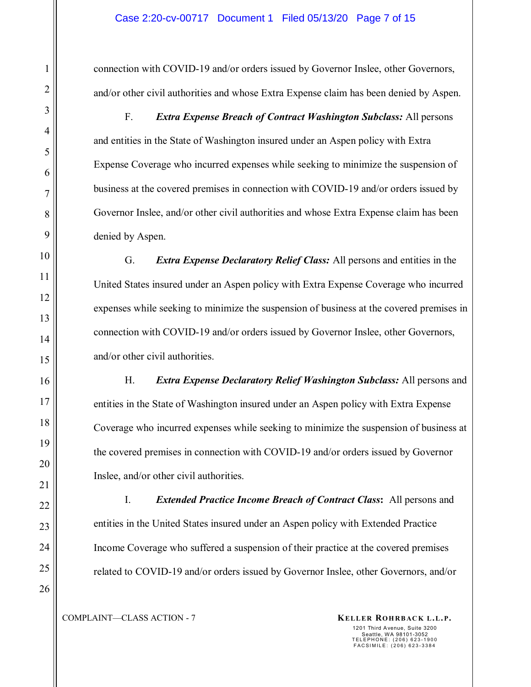connection with COVID-19 and/or orders issued by Governor Inslee, other Governors, and/or other civil authorities and whose Extra Expense claim has been denied by Aspen.

F. *Extra Expense Breach of Contract Washington Subclass:* All persons and entities in the State of Washington insured under an Aspen policy with Extra Expense Coverage who incurred expenses while seeking to minimize the suspension of business at the covered premises in connection with COVID-19 and/or orders issued by Governor Inslee, and/or other civil authorities and whose Extra Expense claim has been denied by Aspen.

G. *Extra Expense Declaratory Relief Class:* All persons and entities in the United States insured under an Aspen policy with Extra Expense Coverage who incurred expenses while seeking to minimize the suspension of business at the covered premises in connection with COVID-19 and/or orders issued by Governor Inslee, other Governors, and/or other civil authorities.

H. *Extra Expense Declaratory Relief Washington Subclass:* All persons and entities in the State of Washington insured under an Aspen policy with Extra Expense Coverage who incurred expenses while seeking to minimize the suspension of business at the covered premises in connection with COVID-19 and/or orders issued by Governor Inslee, and/or other civil authorities.

I. *Extended Practice Income Breach of Contract Class***:** All persons and entities in the United States insured under an Aspen policy with Extended Practice Income Coverage who suffered a suspension of their practice at the covered premises related to COVID-19 and/or orders issued by Governor Inslee, other Governors, and/or

1

2

3

4

5

6

7

8

9

10

11

12

COMPLAINT—CLASS ACTION - 7 **KELLER ROHRBACK L.L.P.**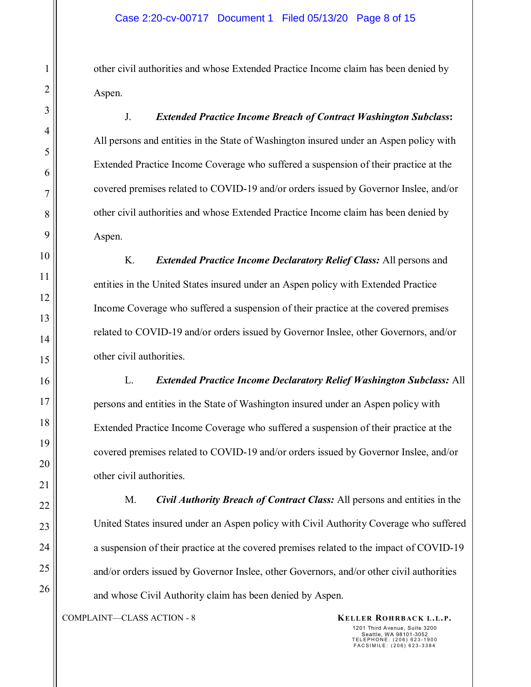other civil authorities and whose Extended Practice Income claim has been denied by Aspen.

J. *Extended Practice Income Breach of Contract Washington Subclass***:**  All persons and entities in the State of Washington insured under an Aspen policy with Extended Practice Income Coverage who suffered a suspension of their practice at the covered premises related to COVID-19 and/or orders issued by Governor Inslee, and/or other civil authorities and whose Extended Practice Income claim has been denied by Aspen.

K. *Extended Practice Income Declaratory Relief Class:* All persons and entities in the United States insured under an Aspen policy with Extended Practice Income Coverage who suffered a suspension of their practice at the covered premises related to COVID-19 and/or orders issued by Governor Inslee, other Governors, and/or other civil authorities.

L. *Extended Practice Income Declaratory Relief Washington Subclass:* All persons and entities in the State of Washington insured under an Aspen policy with Extended Practice Income Coverage who suffered a suspension of their practice at the covered premises related to COVID-19 and/or orders issued by Governor Inslee, and/or other civil authorities.

M. *Civil Authority Breach of Contract Class:* All persons and entities in the United States insured under an Aspen policy with Civil Authority Coverage who suffered a suspension of their practice at the covered premises related to the impact of COVID-19 and/or orders issued by Governor Inslee, other Governors, and/or other civil authorities and whose Civil Authority claim has been denied by Aspen.

COMPLAINT—CLASS ACTION - 8 **KELLER ROHRBACK L.L.P.**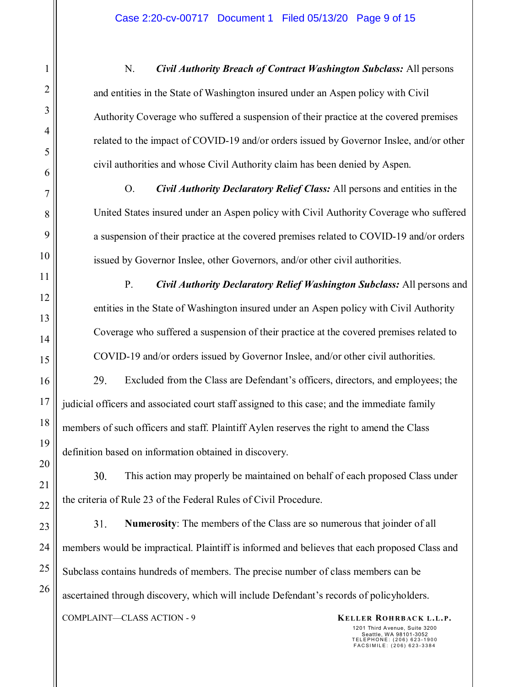N. *Civil Authority Breach of Contract Washington Subclass:* All persons and entities in the State of Washington insured under an Aspen policy with Civil Authority Coverage who suffered a suspension of their practice at the covered premises related to the impact of COVID-19 and/or orders issued by Governor Inslee, and/or other civil authorities and whose Civil Authority claim has been denied by Aspen.

O. *Civil Authority Declaratory Relief Class:* All persons and entities in the United States insured under an Aspen policy with Civil Authority Coverage who suffered a suspension of their practice at the covered premises related to COVID-19 and/or orders issued by Governor Inslee, other Governors, and/or other civil authorities.

P. *Civil Authority Declaratory Relief Washington Subclass:* All persons and entities in the State of Washington insured under an Aspen policy with Civil Authority Coverage who suffered a suspension of their practice at the covered premises related to COVID-19 and/or orders issued by Governor Inslee, and/or other civil authorities.

29. Excluded from the Class are Defendant's officers, directors, and employees; the judicial officers and associated court staff assigned to this case; and the immediate family members of such officers and staff. Plaintiff Aylen reserves the right to amend the Class definition based on information obtained in discovery.

30. This action may properly be maintained on behalf of each proposed Class under the criteria of Rule 23 of the Federal Rules of Civil Procedure.

31. **Numerosity**: The members of the Class are so numerous that joinder of all members would be impractical. Plaintiff is informed and believes that each proposed Class and Subclass contains hundreds of members. The precise number of class members can be ascertained through discovery, which will include Defendant's records of policyholders.

COMPLAINT—CLASS ACTION - 9 **KELLER ROHRBACK L.L.P.**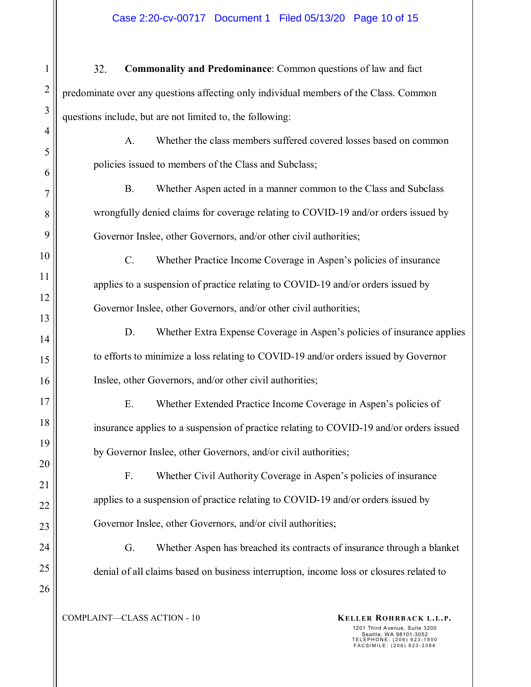### Case 2:20-cv-00717 Document 1 Filed 05/13/20 Page 10 of 15

32. **Commonality and Predominance**: Common questions of law and fact predominate over any questions affecting only individual members of the Class. Common questions include, but are not limited to, the following: A. Whether the class members suffered covered losses based on common policies issued to members of the Class and Subclass; B. Whether Aspen acted in a manner common to the Class and Subclass

wrongfully denied claims for coverage relating to COVID-19 and/or orders issued by Governor Inslee, other Governors, and/or other civil authorities;

C. Whether Practice Income Coverage in Aspen's policies of insurance applies to a suspension of practice relating to COVID-19 and/or orders issued by Governor Inslee, other Governors, and/or other civil authorities;

D. Whether Extra Expense Coverage in Aspen's policies of insurance applies to efforts to minimize a loss relating to COVID-19 and/or orders issued by Governor Inslee, other Governors, and/or other civil authorities;

E. Whether Extended Practice Income Coverage in Aspen's policies of insurance applies to a suspension of practice relating to COVID-19 and/or orders issued by Governor Inslee, other Governors, and/or civil authorities;

F. Whether Civil Authority Coverage in Aspen's policies of insurance applies to a suspension of practice relating to COVID-19 and/or orders issued by Governor Inslee, other Governors, and/or civil authorities;

G. Whether Aspen has breached its contracts of insurance through a blanket denial of all claims based on business interruption, income loss or closures related to

COMPLAINT—CLASS ACTION - 10 **KELLER ROHRBACK L.L.P.**

1

2

3

4

5

6

7

8

9

10

11

12

13

14

15

16

17

18

19

20

21

22

23

24

25

26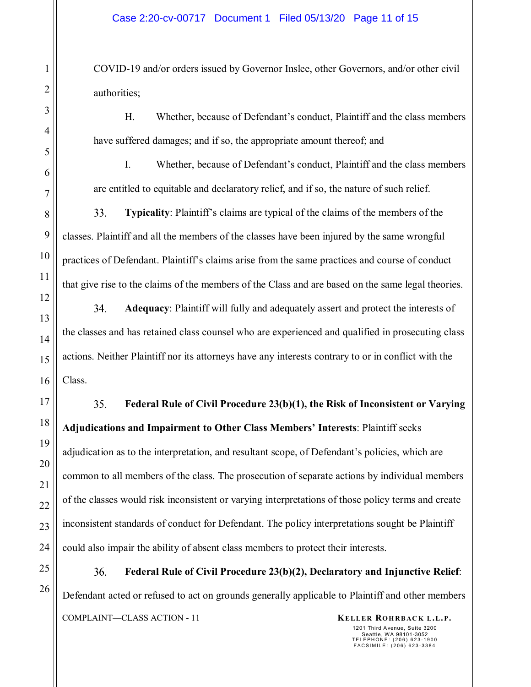COVID-19 and/or orders issued by Governor Inslee, other Governors, and/or other civil authorities;

H. Whether, because of Defendant's conduct, Plaintiff and the class members have suffered damages; and if so, the appropriate amount thereof; and

I. Whether, because of Defendant's conduct, Plaintiff and the class members are entitled to equitable and declaratory relief, and if so, the nature of such relief.

33. **Typicality**: Plaintiff's claims are typical of the claims of the members of the classes. Plaintiff and all the members of the classes have been injured by the same wrongful practices of Defendant. Plaintiff's claims arise from the same practices and course of conduct that give rise to the claims of the members of the Class and are based on the same legal theories.

34. **Adequacy**: Plaintiff will fully and adequately assert and protect the interests of the classes and has retained class counsel who are experienced and qualified in prosecuting class actions. Neither Plaintiff nor its attorneys have any interests contrary to or in conflict with the Class.

35. **Federal Rule of Civil Procedure 23(b)(1), the Risk of Inconsistent or Varying Adjudications and Impairment to Other Class Members' Interests**: Plaintiff seeks adjudication as to the interpretation, and resultant scope, of Defendant's policies, which are common to all members of the class. The prosecution of separate actions by individual members of the classes would risk inconsistent or varying interpretations of those policy terms and create inconsistent standards of conduct for Defendant. The policy interpretations sought be Plaintiff could also impair the ability of absent class members to protect their interests.

36. **Federal Rule of Civil Procedure 23(b)(2), Declaratory and Injunctive Relief**: Defendant acted or refused to act on grounds generally applicable to Plaintiff and other members COMPLAINT—CLASS ACTION - 11 **KELLER ROHRBACK L.L.P.**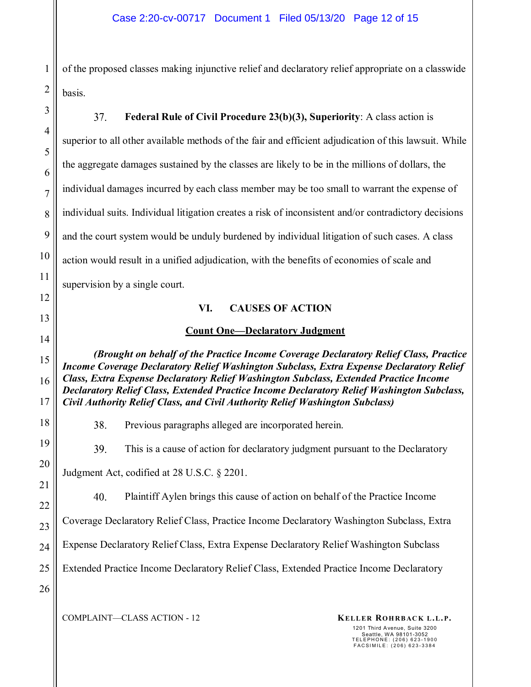of the proposed classes making injunctive relief and declaratory relief appropriate on a classwide basis.

37. **Federal Rule of Civil Procedure 23(b)(3), Superiority**: A class action is superior to all other available methods of the fair and efficient adjudication of this lawsuit. While the aggregate damages sustained by the classes are likely to be in the millions of dollars, the individual damages incurred by each class member may be too small to warrant the expense of individual suits. Individual litigation creates a risk of inconsistent and/or contradictory decisions and the court system would be unduly burdened by individual litigation of such cases. A class action would result in a unified adjudication, with the benefits of economies of scale and supervision by a single court.

### **VI. CAUSES OF ACTION**

### **Count One—Declaratory Judgment**

*(Brought on behalf of the Practice Income Coverage Declaratory Relief Class, Practice Income Coverage Declaratory Relief Washington Subclass, Extra Expense Declaratory Relief Class, Extra Expense Declaratory Relief Washington Subclass, Extended Practice Income Declaratory Relief Class, Extended Practice Income Declaratory Relief Washington Subclass, Civil Authority Relief Class, and Civil Authority Relief Washington Subclass)* 

38. Previous paragraphs alleged are incorporated herein.

39. This is a cause of action for declaratory judgment pursuant to the Declaratory

Judgment Act, codified at 28 U.S.C. § 2201.

40. Plaintiff Aylen brings this cause of action on behalf of the Practice Income

Coverage Declaratory Relief Class, Practice Income Declaratory Washington Subclass, Extra

Expense Declaratory Relief Class, Extra Expense Declaratory Relief Washington Subclass

Extended Practice Income Declaratory Relief Class, Extended Practice Income Declaratory

1

2

3

4

5

6

7

8

9

10

11

12

13

14

15

16

17

18

19

20

COMPLAINT—CLASS ACTION - 12 **KELLER ROHRBACK L.L.P.**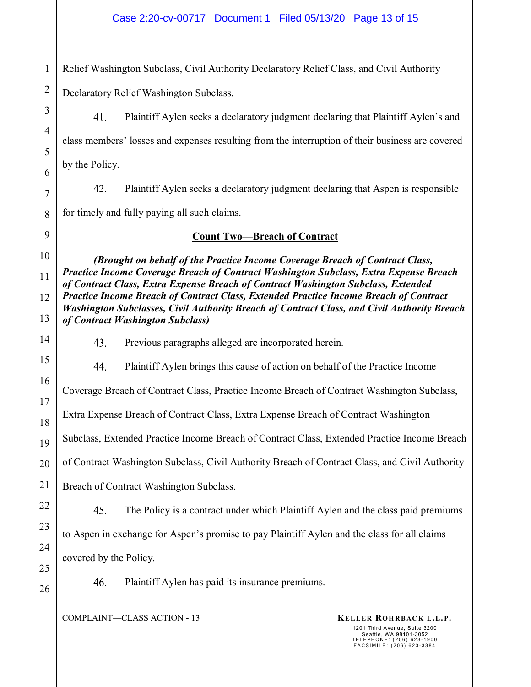1 Relief Washington Subclass, Civil Authority Declaratory Relief Class, and Civil Authority

Declaratory Relief Washington Subclass.

2

3

4

5

6

7

8

9

10

11

12

13

14

15

16

17

18

19

20

21

22

23

24

25

26

41. Plaintiff Aylen seeks a declaratory judgment declaring that Plaintiff Aylen's and class members' losses and expenses resulting from the interruption of their business are covered by the Policy.

42. Plaintiff Aylen seeks a declaratory judgment declaring that Aspen is responsible for timely and fully paying all such claims.

# **Count Two—Breach of Contract**

*(Brought on behalf of the Practice Income Coverage Breach of Contract Class, Practice Income Coverage Breach of Contract Washington Subclass, Extra Expense Breach of Contract Class, Extra Expense Breach of Contract Washington Subclass, Extended Practice Income Breach of Contract Class, Extended Practice Income Breach of Contract Washington Subclasses, Civil Authority Breach of Contract Class, and Civil Authority Breach of Contract Washington Subclass)* 

43. Previous paragraphs alleged are incorporated herein.

44. Plaintiff Aylen brings this cause of action on behalf of the Practice Income

Coverage Breach of Contract Class, Practice Income Breach of Contract Washington Subclass,

Extra Expense Breach of Contract Class, Extra Expense Breach of Contract Washington

Subclass, Extended Practice Income Breach of Contract Class, Extended Practice Income Breach

of Contract Washington Subclass, Civil Authority Breach of Contract Class, and Civil Authority

Breach of Contract Washington Subclass.

45. The Policy is a contract under which Plaintiff Aylen and the class paid premiums

to Aspen in exchange for Aspen's promise to pay Plaintiff Aylen and the class for all claims

covered by the Policy.

46. Plaintiff Aylen has paid its insurance premiums.

COMPLAINT—CLASS ACTION - 13 **KELLER ROHRBACK L.L.P.**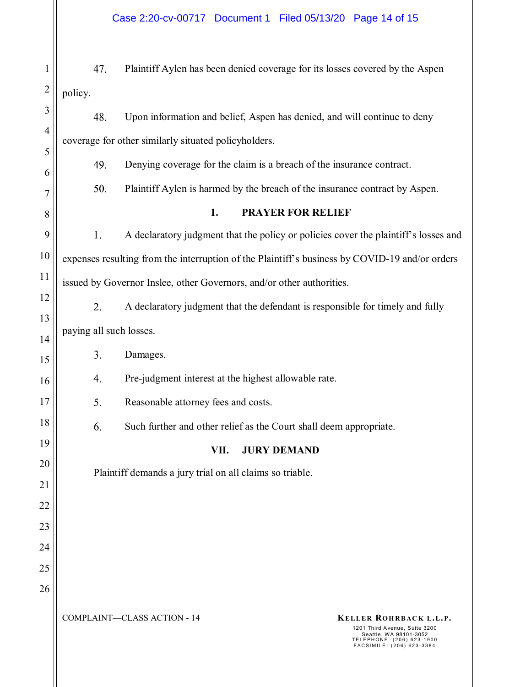## Case 2:20-cv-00717 Document 1 Filed 05/13/20 Page 14 of 15

| 1              | 47.                                                                                            | Plaintiff Aylen has been denied coverage for its losses covered by the Aspen        |  |  |
|----------------|------------------------------------------------------------------------------------------------|-------------------------------------------------------------------------------------|--|--|
| $\overline{c}$ | policy.                                                                                        |                                                                                     |  |  |
| 3              | 48.                                                                                            | Upon information and belief, Aspen has denied, and will continue to deny            |  |  |
| $\overline{4}$ | coverage for other similarly situated policyholders.                                           |                                                                                     |  |  |
| 5              | 49.                                                                                            | Denying coverage for the claim is a breach of the insurance contract.               |  |  |
| 6<br>7         | 50.                                                                                            | Plaintiff Aylen is harmed by the breach of the insurance contract by Aspen.         |  |  |
| 8              | 1.<br><b>PRAYER FOR RELIEF</b>                                                                 |                                                                                     |  |  |
| 9              | 1.                                                                                             | A declaratory judgment that the policy or policies cover the plaintiff's losses and |  |  |
| 10             | expenses resulting from the interruption of the Plaintiff's business by COVID-19 and/or orders |                                                                                     |  |  |
| 11             | issued by Governor Inslee, other Governors, and/or other authorities.                          |                                                                                     |  |  |
| 12             | 2.                                                                                             | A declaratory judgment that the defendant is responsible for timely and fully       |  |  |
| 13             | paying all such losses.                                                                        |                                                                                     |  |  |
| 14<br>15       | 3.                                                                                             | Damages.                                                                            |  |  |
| 16             | Pre-judgment interest at the highest allowable rate.<br>4.                                     |                                                                                     |  |  |
| 17             | 5.                                                                                             | Reasonable attorney fees and costs.                                                 |  |  |
| 18             | 6.                                                                                             | Such further and other relief as the Court shall deem appropriate.                  |  |  |
| 19             |                                                                                                | VII.<br><b>JURY DEMAND</b>                                                          |  |  |
| 20             | Plaintiff demands a jury trial on all claims so triable.                                       |                                                                                     |  |  |
| 21             |                                                                                                |                                                                                     |  |  |
| 22             |                                                                                                |                                                                                     |  |  |
| 23<br>24       |                                                                                                |                                                                                     |  |  |
| 25             |                                                                                                |                                                                                     |  |  |
| 26             |                                                                                                |                                                                                     |  |  |
|                |                                                                                                | <b>COMPLAINT-CLASS ACTION - 14</b><br>KELLER ROHRBACK L.L.P.                        |  |  |